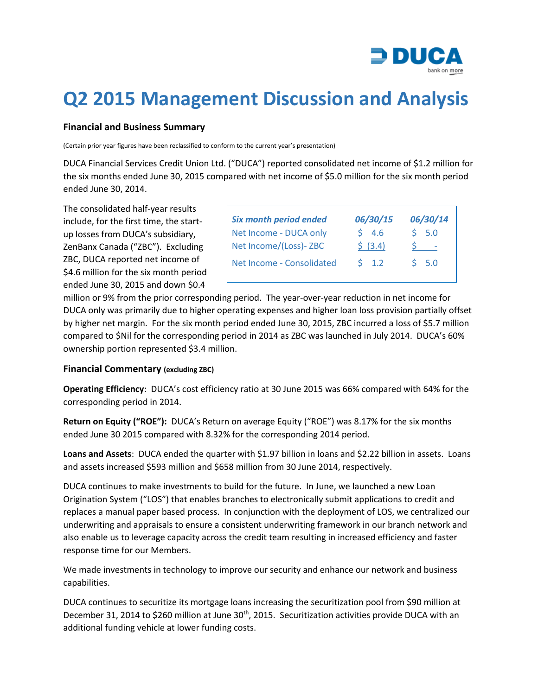

## **Q2 2015 Management Discussion and Analysis**

## **Financial and Business Summary**

(Certain prior year figures have been reclassified to conform to the current year's presentation)

DUCA Financial Services Credit Union Ltd. ("DUCA") reported consolidated net income of \$1.2 million for the six months ended June 30, 2015 compared with net income of \$5.0 million for the six month period ended June 30, 2014.

The consolidated half-year results include, for the first time, the startup losses from DUCA's subsidiary, ZenBanx Canada ("ZBC"). Excluding ZBC, DUCA reported net income of \$4.6 million for the six month period ended June 30, 2015 and down \$0.4

| <b>Six month period ended</b> | 06/30/15  | 06/30/14                 |
|-------------------------------|-----------|--------------------------|
| Net Income - DUCA only        | 54.6      | 5.0                      |
| Net Income/(Loss)-ZBC         | 5(3.4)    | $\overline{\phantom{a}}$ |
| Net Income - Consolidated     | $5 \t1.2$ | $S$ 5.0                  |

million or 9% from the prior corresponding period. The year-over-year reduction in net income for DUCA only was primarily due to higher operating expenses and higher loan loss provision partially offset by higher net margin. For the six month period ended June 30, 2015, ZBC incurred a loss of \$5.7 million compared to \$Nil for the corresponding period in 2014 as ZBC was launched in July 2014. DUCA's 60% ownership portion represented \$3.4 million.

## **Financial Commentary (excluding ZBC)**

**Operating Efficiency**: DUCA's cost efficiency ratio at 30 June 2015 was 66% compared with 64% for the corresponding period in 2014.

**Return on Equity ("ROE"):** DUCA's Return on average Equity ("ROE") was 8.17% for the six months ended June 30 2015 compared with 8.32% for the corresponding 2014 period.

**Loans and Assets**: DUCA ended the quarter with \$1.97 billion in loans and \$2.22 billion in assets. Loans and assets increased \$593 million and \$658 million from 30 June 2014, respectively.

DUCA continues to make investments to build for the future. In June, we launched a new Loan Origination System ("LOS") that enables branches to electronically submit applications to credit and replaces a manual paper based process. In conjunction with the deployment of LOS, we centralized our underwriting and appraisals to ensure a consistent underwriting framework in our branch network and also enable us to leverage capacity across the credit team resulting in increased efficiency and faster response time for our Members.

We made investments in technology to improve our security and enhance our network and business capabilities.

DUCA continues to securitize its mortgage loans increasing the securitization pool from \$90 million at December 31, 2014 to \$260 million at June 30<sup>th</sup>, 2015. Securitization activities provide DUCA with an additional funding vehicle at lower funding costs.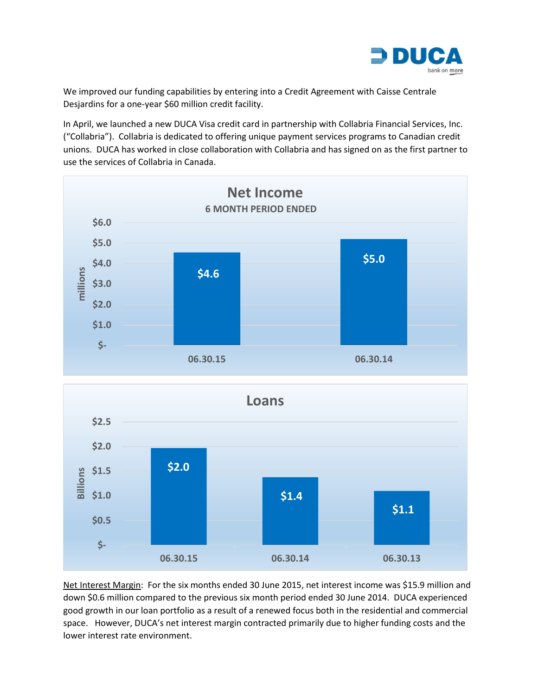

We improved our funding capabilities by entering into a Credit Agreement with Caisse Centrale Desjardins for a one-year \$60 million credit facility.

In April, we launched a new DUCA Visa credit card in partnership with Collabria Financial Services, Inc. ("Collabria"). Collabria is dedicated to offering unique payment services programs to Canadian credit unions. DUCA has worked in close collaboration with Collabria and has signed on as the first partner to use the services of Collabria in Canada.



Net Interest Margin: For the six months ended 30 June 2015, net interest income was \$15.9 million and down \$0.6 million compared to the previous six month period ended 30 June 2014. DUCA experienced good growth in our loan portfolio as a result of a renewed focus both in the residential and commercial space. However, DUCA's net interest margin contracted primarily due to higher funding costs and the lower interest rate environment.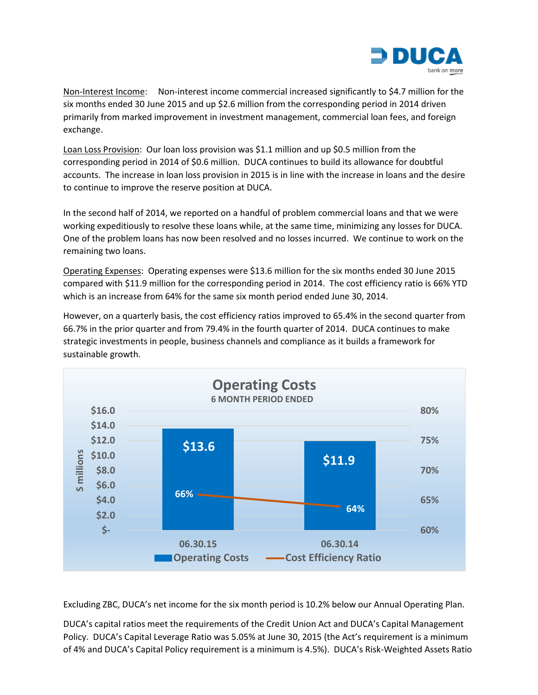

Non-Interest Income: Non-interest income commercial increased significantly to \$4.7 million for the six months ended 30 June 2015 and up \$2.6 million from the corresponding period in 2014 driven primarily from marked improvement in investment management, commercial loan fees, and foreign exchange.

Loan Loss Provision: Our loan loss provision was \$1.1 million and up \$0.5 million from the corresponding period in 2014 of \$0.6 million. DUCA continues to build its allowance for doubtful accounts. The increase in loan loss provision in 2015 is in line with the increase in loans and the desire to continue to improve the reserve position at DUCA.

In the second half of 2014, we reported on a handful of problem commercial loans and that we were working expeditiously to resolve these loans while, at the same time, minimizing any losses for DUCA. One of the problem loans has now been resolved and no losses incurred. We continue to work on the remaining two loans.

Operating Expenses: Operating expenses were \$13.6 million for the six months ended 30 June 2015 compared with \$11.9 million for the corresponding period in 2014. The cost efficiency ratio is 66% YTD which is an increase from 64% for the same six month period ended June 30, 2014.

However, on a quarterly basis, the cost efficiency ratios improved to 65.4% in the second quarter from 66.7% in the prior quarter and from 79.4% in the fourth quarter of 2014. DUCA continues to make strategic investments in people, business channels and compliance as it builds a framework for sustainable growth.



Excluding ZBC, DUCA's net income for the six month period is 10.2% below our Annual Operating Plan.

DUCA's capital ratios meet the requirements of the Credit Union Act and DUCA's Capital Management Policy. DUCA's Capital Leverage Ratio was 5.05% at June 30, 2015 (the Act's requirement is a minimum of 4% and DUCA's Capital Policy requirement is a minimum is 4.5%). DUCA's Risk-Weighted Assets Ratio